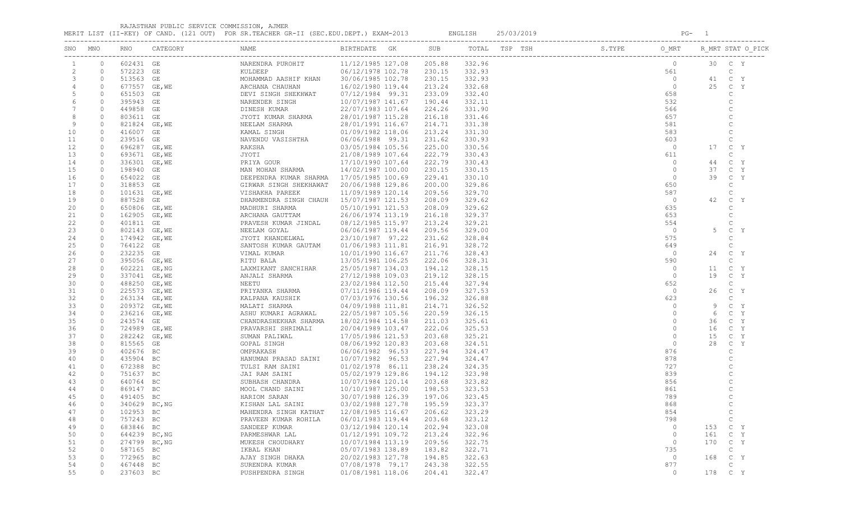|  |  |  | RAJASTHAN PUBLIC SERVICE COMMISSION, AJMER<br>. |  |
|--|--|--|-------------------------------------------------|--|
|--|--|--|-------------------------------------------------|--|

MERIT LIST (II-KEY) OF CAND. (121 OUT) FOR SR.TEACHER GR-II (SEC.EDU.DEPT.) EXAM-2013 ENGLISH 25/03/2019 PG- 1

| SNO            | MNO            |               |               |                                                                                                                                                                                                                                          |                   |        |        | $\begin{array}{r rrrr} \texttt{ISP} & \texttt{SS.PYE} & \texttt{OMRT} \\ \texttt{561} & \texttt{0} \\ \texttt{658} & \texttt{552} \\ \texttt{658} & \texttt{552} \\ \texttt{657} & \texttt{581} \\ \texttt{663} & \texttt{657} \\ \texttt{673} & \texttt{688} \\ \texttt{689} & \texttt{693} \\ \texttt{603} & \texttt{611} \\ \texttt{0} & \texttt{0} \\ \texttt{0} & \texttt{0} \\ \texttt{653} & \texttt{657$ |         | R MRT STAT O PICK       |
|----------------|----------------|---------------|---------------|------------------------------------------------------------------------------------------------------------------------------------------------------------------------------------------------------------------------------------------|-------------------|--------|--------|------------------------------------------------------------------------------------------------------------------------------------------------------------------------------------------------------------------------------------------------------------------------------------------------------------------------------------------------------------------------------------------------------------------|---------|-------------------------|
|                | $\circ$        | 602431 GE     |               |                                                                                                                                                                                                                                          |                   | 205.88 | 332.96 |                                                                                                                                                                                                                                                                                                                                                                                                                  |         | 30 C Y                  |
| $\overline{c}$ | $\circ$        | 572223 GE     |               |                                                                                                                                                                                                                                          |                   | 230.15 | 332.93 |                                                                                                                                                                                                                                                                                                                                                                                                                  |         | $\mathbb C$             |
| 3              | $\circ$        | 513563 GE     |               |                                                                                                                                                                                                                                          |                   | 230.15 | 332.93 |                                                                                                                                                                                                                                                                                                                                                                                                                  |         | C Y<br>41               |
|                | $\circ$        |               | 677557 GE, WE |                                                                                                                                                                                                                                          |                   | 213.24 | 332.68 |                                                                                                                                                                                                                                                                                                                                                                                                                  |         | 25 C Y                  |
|                | $\circ$        | 651503 GE     |               |                                                                                                                                                                                                                                          |                   | 233.09 | 332.40 |                                                                                                                                                                                                                                                                                                                                                                                                                  |         | C                       |
|                | $\circ$        | 395943 GE     |               |                                                                                                                                                                                                                                          |                   | 190.44 | 332.11 |                                                                                                                                                                                                                                                                                                                                                                                                                  |         | $\mathcal{C}$           |
|                | $\circ$        | 449858 GE     |               |                                                                                                                                                                                                                                          |                   | 224.26 | 331.90 |                                                                                                                                                                                                                                                                                                                                                                                                                  |         |                         |
| 8              | $\circ$        | 803611 GE     |               |                                                                                                                                                                                                                                          |                   | 216.18 | 331.46 |                                                                                                                                                                                                                                                                                                                                                                                                                  |         |                         |
| 9              | $\circ$        | 821824 GE, WE |               |                                                                                                                                                                                                                                          |                   | 214.71 | 331.38 |                                                                                                                                                                                                                                                                                                                                                                                                                  |         | $\mathsf{C}$            |
| 10             | $\circ$        | 416007 GE     |               |                                                                                                                                                                                                                                          |                   | 213.24 | 331.30 |                                                                                                                                                                                                                                                                                                                                                                                                                  |         | $\overline{C}$          |
| 11             | $\circ$        | 239516 GE     |               |                                                                                                                                                                                                                                          |                   | 231.62 | 330.93 |                                                                                                                                                                                                                                                                                                                                                                                                                  |         | C                       |
| 12             | $\circ$        | 696287 GE, WE |               |                                                                                                                                                                                                                                          |                   | 225.00 | 330.56 |                                                                                                                                                                                                                                                                                                                                                                                                                  |         | 17<br>C Y               |
| 13             | $\circ$        | 693671 GE, WE |               |                                                                                                                                                                                                                                          |                   | 222.79 | 330.43 |                                                                                                                                                                                                                                                                                                                                                                                                                  |         | $\mathsf{C}$            |
| 14             | $\circ$        | 336301 GE, WE |               |                                                                                                                                                                                                                                          |                   | 222.79 | 330.43 |                                                                                                                                                                                                                                                                                                                                                                                                                  |         | C Y<br>44               |
| 15             | $\circ$        | 198940 GE     |               |                                                                                                                                                                                                                                          |                   | 230.15 | 330.15 |                                                                                                                                                                                                                                                                                                                                                                                                                  |         | 37<br>C Y               |
| 16             | $\circ$        | 654022 GE     |               |                                                                                                                                                                                                                                          |                   | 229.41 | 330.10 |                                                                                                                                                                                                                                                                                                                                                                                                                  |         | C Y<br>39               |
| 17             | $\circ$        | 318853 GE     |               |                                                                                                                                                                                                                                          |                   | 200.00 | 329.86 |                                                                                                                                                                                                                                                                                                                                                                                                                  |         | C                       |
| 18             | $\circ$        |               | 101631 GE, WE |                                                                                                                                                                                                                                          |                   | 209.56 | 329.70 |                                                                                                                                                                                                                                                                                                                                                                                                                  |         | $\mathsf{C}$            |
| 19             | $\circ$        | 887528 GE     |               |                                                                                                                                                                                                                                          |                   | 208.09 | 329.62 |                                                                                                                                                                                                                                                                                                                                                                                                                  |         | 42<br>$\mathbb{C}$<br>Y |
| 20             | $\circ$        |               | 650806 GE, WE |                                                                                                                                                                                                                                          |                   | 208.09 | 329.62 |                                                                                                                                                                                                                                                                                                                                                                                                                  |         | $\mathbb C$             |
| 21             | $\circ$        | 162905 GE, WE |               |                                                                                                                                                                                                                                          |                   | 216.18 | 329.37 |                                                                                                                                                                                                                                                                                                                                                                                                                  |         | $\mathcal{C}$           |
| 22             | $\circ$        | 401811 GE     |               |                                                                                                                                                                                                                                          |                   | 213.24 | 329.21 |                                                                                                                                                                                                                                                                                                                                                                                                                  |         | $\mathcal{C}$           |
| 23             | $\circ$        | 802143 GE, WE |               |                                                                                                                                                                                                                                          |                   | 209.56 | 329.00 |                                                                                                                                                                                                                                                                                                                                                                                                                  |         | 5<br>$\mathbb{C}$<br>Y  |
| 24             | $\circ$        | 174942 GE, WE |               |                                                                                                                                                                                                                                          |                   | 231.62 | 328.84 |                                                                                                                                                                                                                                                                                                                                                                                                                  |         | $\mathsf{C}$            |
| 25             | $\circ$        | 764122 GE     |               |                                                                                                                                                                                                                                          |                   | 216.91 | 328.72 |                                                                                                                                                                                                                                                                                                                                                                                                                  |         | $\mathcal{C}$           |
| 26             | $\circ$        | 232235 GE     |               |                                                                                                                                                                                                                                          |                   | 211.76 | 328.43 |                                                                                                                                                                                                                                                                                                                                                                                                                  |         | C Y<br>24               |
| 27             | $\circ$        | 395056 GE, WE |               |                                                                                                                                                                                                                                          |                   | 222.06 | 328.31 |                                                                                                                                                                                                                                                                                                                                                                                                                  |         | $\mathsf{C}$            |
|                | $\circ$        |               |               |                                                                                                                                                                                                                                          |                   | 194.12 | 328.15 |                                                                                                                                                                                                                                                                                                                                                                                                                  |         | C Y                     |
| 28             |                | 602221 GE, NG |               |                                                                                                                                                                                                                                          |                   |        |        |                                                                                                                                                                                                                                                                                                                                                                                                                  |         | 11                      |
| 29             | $\circ$        | 337041 GE, WE |               |                                                                                                                                                                                                                                          |                   | 219.12 | 328.15 |                                                                                                                                                                                                                                                                                                                                                                                                                  |         | 19<br>C Y               |
| 30             | $\circ$        | 488250 GE, WE |               |                                                                                                                                                                                                                                          |                   | 215.44 | 327.94 |                                                                                                                                                                                                                                                                                                                                                                                                                  |         | C                       |
| 31             | $\circ$        | 225573 GE, WE |               |                                                                                                                                                                                                                                          |                   | 208.09 | 327.53 |                                                                                                                                                                                                                                                                                                                                                                                                                  |         | 26<br>C Y               |
| 32             | $\circ$        | 263134 GE, WE |               |                                                                                                                                                                                                                                          |                   | 196.32 | 326.88 |                                                                                                                                                                                                                                                                                                                                                                                                                  |         | C                       |
| 33             | $\circ$        | 209372 GE, WE |               |                                                                                                                                                                                                                                          |                   | 214.71 | 326.52 |                                                                                                                                                                                                                                                                                                                                                                                                                  |         | 9<br>C Y                |
| 34             | $\overline{0}$ | 236216 GE, WE |               |                                                                                                                                                                                                                                          |                   | 220.59 | 326.15 |                                                                                                                                                                                                                                                                                                                                                                                                                  |         | C Y<br>6                |
| 35             | $\circ$        | 243574 GE     |               |                                                                                                                                                                                                                                          |                   | 211.03 | 325.61 |                                                                                                                                                                                                                                                                                                                                                                                                                  |         | C Y<br>36               |
| 36             | $\overline{0}$ | 724989 GE, WE |               |                                                                                                                                                                                                                                          |                   | 222.06 | 325.53 |                                                                                                                                                                                                                                                                                                                                                                                                                  |         | C Y<br>16               |
| 37             | $\circ$        | 282242 GE, WE |               |                                                                                                                                                                                                                                          |                   | 203.68 | 325.21 |                                                                                                                                                                                                                                                                                                                                                                                                                  |         | 15<br>C Y               |
| 38             | $\circ$        | 815565 GE     |               |                                                                                                                                                                                                                                          |                   | 203.68 | 324.51 |                                                                                                                                                                                                                                                                                                                                                                                                                  | $\circ$ | 28<br>C Y               |
| 39             | $\circ$        | 402676 BC     |               |                                                                                                                                                                                                                                          |                   | 227.94 | 324.47 |                                                                                                                                                                                                                                                                                                                                                                                                                  | 876     | C                       |
| 40             | $\circ$        | 435904 BC     |               |                                                                                                                                                                                                                                          |                   | 227.94 | 324.47 |                                                                                                                                                                                                                                                                                                                                                                                                                  | 878     |                         |
| 41             | $\circ$        | 672388 BC     |               |                                                                                                                                                                                                                                          |                   | 238.24 | 324.35 |                                                                                                                                                                                                                                                                                                                                                                                                                  | 727     | $\mathcal{C}$           |
| 42             | $\circ$        | 751637 BC     |               | JAI RAM SAINI<br>SUBHASH CHANDRA<br>MOOL CHAND SAINI<br>HARIOM SARAN<br>"TOUAN LAL SAINI<br>JAI RAM SAINI 05/02/1979 129.86<br>SUBHASH CHANDRA 10/07/1984 120.14<br>MOOL CHAND SAINI 10/10/1987 125.00<br>HARIOM SARAN 30/07/1988 126.39 |                   | 194.12 | 323.98 |                                                                                                                                                                                                                                                                                                                                                                                                                  | 839     |                         |
| 43             | $\circ$        | 640764 BC     |               |                                                                                                                                                                                                                                          |                   | 203.68 | 323.82 |                                                                                                                                                                                                                                                                                                                                                                                                                  | 856     |                         |
| 44             | $\circ$        | 869147 BC     |               |                                                                                                                                                                                                                                          |                   | 198.53 | 323.53 |                                                                                                                                                                                                                                                                                                                                                                                                                  | 861     |                         |
| 45             | $\circ$        | 491405 BC     |               |                                                                                                                                                                                                                                          |                   | 197.06 | 323.45 |                                                                                                                                                                                                                                                                                                                                                                                                                  | 789     |                         |
| 46             | $\circ$        | 340629 BC, NG |               | KISHAN LAL SAINI                                                                                                                                                                                                                         | 03/02/1988 127.78 | 195.59 | 323.37 |                                                                                                                                                                                                                                                                                                                                                                                                                  | 868     | $\mathcal{C}$           |
| 47             |                | 0 102953 BC   |               | MAHENDRA SINGH KATHAT 12/08/1985 116.67 206.62 323.29                                                                                                                                                                                    |                   |        |        |                                                                                                                                                                                                                                                                                                                                                                                                                  | 854     |                         |
| 48             | $\circ$        | 757243 BC     |               | PRAVEEN KUMAR ROHILA                                                                                                                                                                                                                     | 06/01/1983 119.44 | 203.68 | 323.12 |                                                                                                                                                                                                                                                                                                                                                                                                                  | 798     | $\mathbb C$             |
| 49             | $\circ$        | 683846 BC     |               | SANDEEP KUMAR                                                                                                                                                                                                                            | 03/12/1984 120.14 | 202.94 | 323.08 |                                                                                                                                                                                                                                                                                                                                                                                                                  | $\circ$ | 153 C Y                 |
| 50             | $\circ$        | 644239 BC, NG |               | PARMESHWAR LAL                                                                                                                                                                                                                           | 01/12/1991 109.72 | 213.24 | 322.96 |                                                                                                                                                                                                                                                                                                                                                                                                                  | $\circ$ | 161<br>C Y              |
| 51             | $\circ$        | 274799 BC, NG |               | MUKESH CHOUDHARY                                                                                                                                                                                                                         | 10/07/1984 113.19 | 209.56 | 322.75 |                                                                                                                                                                                                                                                                                                                                                                                                                  | $\circ$ | 170<br>C Y              |
| 52             | $\overline{0}$ | 587165 BC     |               | IKBAL KHAN                                                                                                                                                                                                                               | 05/07/1983 138.89 | 183.82 | 322.71 |                                                                                                                                                                                                                                                                                                                                                                                                                  | 735     | $\mathbb{C}$            |
| 53             | $\circ$        | 772965 BC     |               | AJAY SINGH DHAKA                                                                                                                                                                                                                         | 20/02/1983 127.78 | 194.85 | 322.63 |                                                                                                                                                                                                                                                                                                                                                                                                                  | $\circ$ | 168 C Y                 |
| 54             | $\overline{0}$ | 467448 BC     |               | SURENDRA KUMAR                                                                                                                                                                                                                           | 07/08/1978 79.17  | 243.38 | 322.55 |                                                                                                                                                                                                                                                                                                                                                                                                                  | 877     | $\mathbb{C}$            |
| 55             | $\circ$        | 237603 BC     |               | PUSHPENDRA SINGH                                                                                                                                                                                                                         | 01/08/1981 118.06 | 204.41 | 322.47 |                                                                                                                                                                                                                                                                                                                                                                                                                  | $\circ$ | 178 C Y                 |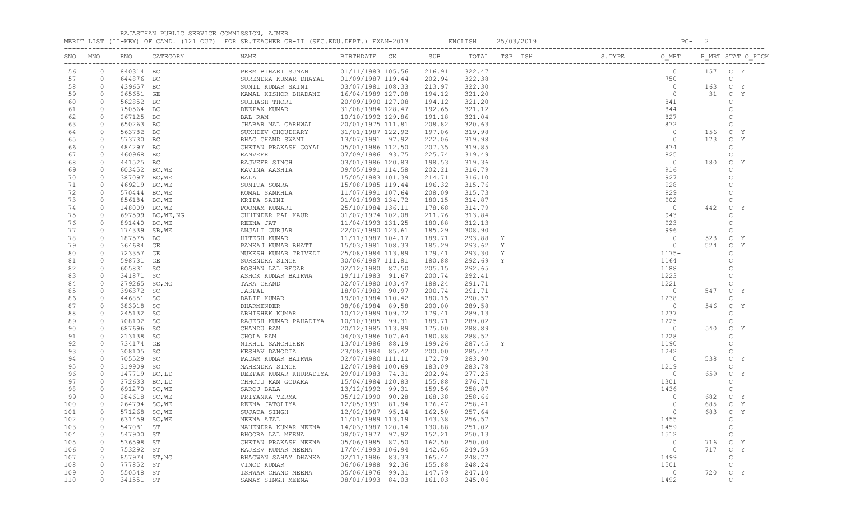RAJASTHAN PUBLIC SERVICE COMMISSION, AJMER

MERIT LIST (II-KEY) OF CAND. (121 OUT) FOR SR.TEACHER GR-II (SEC.EDU.DEPT.) EXAM-2013 ENGLISH 25/03/2019 PG- 2

| SNO | MNO            |               |                   |                                                                                                                                                                                                                                                                                                                                           |                   |               |        |   |                                                                                                                                                                                                                                                                                                                                                                                                                                                                                 |                |     | R MRT STAT O PICK  |
|-----|----------------|---------------|-------------------|-------------------------------------------------------------------------------------------------------------------------------------------------------------------------------------------------------------------------------------------------------------------------------------------------------------------------------------------|-------------------|---------------|--------|---|---------------------------------------------------------------------------------------------------------------------------------------------------------------------------------------------------------------------------------------------------------------------------------------------------------------------------------------------------------------------------------------------------------------------------------------------------------------------------------|----------------|-----|--------------------|
| 56  | $\circ$        | 840314 BC     |                   | PREM BIHARI SUMAN                                                                                                                                                                                                                                                                                                                         | 01/11/1983 105.56 | 216.91        | 322.47 |   | $\overline{\phantom{a}}$ $\overline{\phantom{a}}$ $\overline{\phantom{a}}$ $\overline{\phantom{a}}$ $\overline{\phantom{a}}$ $\overline{\phantom{a}}$ $\overline{\phantom{a}}$ $\overline{\phantom{a}}$ $\overline{\phantom{a}}$ $\overline{\phantom{a}}$ $\overline{\phantom{a}}$ $\overline{\phantom{a}}$ $\overline{\phantom{a}}$ $\overline{\phantom{a}}$ $\overline{\phantom{a}}$ $\overline{\phantom{a}}$ $\overline{\phantom{a}}$ $\overline{\phantom{a}}$ $\overline{\$ |                |     | 157 C Y            |
| 57  | $\circ$        | 644876 BC     |                   | SURENDRA KUMAR DHAYAL 01/09/1987 119.44                                                                                                                                                                                                                                                                                                   |                   | 202.94        | 322.38 |   |                                                                                                                                                                                                                                                                                                                                                                                                                                                                                 | 750            |     | C                  |
| 58  | $\overline{0}$ | 439657 BC     |                   | SUNIL KUMAR SAINI                                                                                                                                                                                                                                                                                                                         | 03/07/1981 108.33 | 213.97        | 322.30 |   |                                                                                                                                                                                                                                                                                                                                                                                                                                                                                 | $\overline{0}$ | 163 | C Y                |
| 59  | $\circ$        | 265651 GE     |                   | KAMAL KISHOR BHADANI                                                                                                                                                                                                                                                                                                                      | 16/04/1989 127.08 | 194.12        | 321.20 |   |                                                                                                                                                                                                                                                                                                                                                                                                                                                                                 | $\circ$        | 31  | Y<br>$\mathbb C$   |
| 60  | $\circ$        | 562852 BC     |                   | SUBHASH THORI                                                                                                                                                                                                                                                                                                                             | 20/09/1990 127.08 | 194.12        | 321.20 |   |                                                                                                                                                                                                                                                                                                                                                                                                                                                                                 | 841            |     | C                  |
| 61  | $\circ$        | 750564 BC     |                   | DEEPAK KUMAR                                                                                                                                                                                                                                                                                                                              | 31/08/1984 128.47 | 192.65        | 321.12 |   |                                                                                                                                                                                                                                                                                                                                                                                                                                                                                 | 844            |     | $\mathsf C$        |
| 62  | $\circ$        | 267125 BC     |                   | BAL RAM                                                                                                                                                                                                                                                                                                                                   | 10/10/1992 129.86 | 191.18        | 321.04 |   |                                                                                                                                                                                                                                                                                                                                                                                                                                                                                 | 827            |     | C                  |
| 63  | $\circ$        | 650263 BC     |                   | JHABAR MAL GARHWAL                                                                                                                                                                                                                                                                                                                        | 20/01/1975 111.81 | 208.82        | 320.63 |   |                                                                                                                                                                                                                                                                                                                                                                                                                                                                                 | 872            |     | $\mathbb C$        |
| 64  | $\circ$        | 563782 BC     |                   | SUKHDEV CHOUDHARY                                                                                                                                                                                                                                                                                                                         | 31/01/1987 122.92 | 197.06        | 319.98 |   |                                                                                                                                                                                                                                                                                                                                                                                                                                                                                 | $\overline{0}$ | 156 | C Y                |
| 65  | $\circ$        | 573730 BC     |                   | BHAG CHAND SWAMI                                                                                                                                                                                                                                                                                                                          | 13/07/1991 97.92  | 222.06        | 319.98 |   |                                                                                                                                                                                                                                                                                                                                                                                                                                                                                 | $\overline{0}$ | 173 | C Y                |
| 66  | $\circ$        | 484297 BC     |                   | CHETAN PRAKASH GOYAL                                                                                                                                                                                                                                                                                                                      | 05/01/1986 112.50 | 207.35        | 319.85 |   |                                                                                                                                                                                                                                                                                                                                                                                                                                                                                 | 874            |     | $\mathbb{C}$       |
| 67  | $\circ$        | 460968 BC     |                   | RANVEER                                                                                                                                                                                                                                                                                                                                   | 07/09/1986 93.75  | 225.74        | 319.49 |   |                                                                                                                                                                                                                                                                                                                                                                                                                                                                                 | 825            |     | C                  |
| 68  | $\circ$        | 441525 BC     |                   | RAJVEER SINGH                                                                                                                                                                                                                                                                                                                             | 03/01/1986 120.83 | 198.53        | 319.36 |   |                                                                                                                                                                                                                                                                                                                                                                                                                                                                                 | $\overline{0}$ | 180 | $\mathbb C$<br>Y   |
| 69  | $\circ$        | 603452 BC, WE |                   | RAVINA AASHIA                                                                                                                                                                                                                                                                                                                             |                   | 202.21        | 316.79 |   |                                                                                                                                                                                                                                                                                                                                                                                                                                                                                 | 916            |     | $\mathsf{C}$       |
| 70  | $\circ$        | 387097 BC, WE |                   | AASHIA $09/05/1983$ 101.39<br>15/05/1983 101.39<br>15/08/1985 119.44<br>15/08/1985 119.44<br>RAVINA AASTLA<br>BALA 15/05/1983 101.35<br>SUNITA SOMRA 15/08/1985 119.44<br>KOMAL SANKHLA 11/07/1991 107.64<br>KRIPA SAINI 01/01/1983 134.72<br>POONAM KUMARI 25/10/1984 136.11<br>CHHINDER PAL KAUR 01/07/1974 102.08<br>REENA JAT 11/04/1 |                   | 214.71        | 316.10 |   |                                                                                                                                                                                                                                                                                                                                                                                                                                                                                 | 927            |     | $\mathsf{C}$       |
| 71  | $\circ$        |               |                   |                                                                                                                                                                                                                                                                                                                                           |                   | 196.32        | 315.76 |   |                                                                                                                                                                                                                                                                                                                                                                                                                                                                                 | 928            |     | $\mathsf{C}$       |
|     |                | 469219 BC, WE |                   |                                                                                                                                                                                                                                                                                                                                           |                   |               |        |   |                                                                                                                                                                                                                                                                                                                                                                                                                                                                                 |                |     |                    |
| 72  | $\circ$        | 570444 BC, WE |                   |                                                                                                                                                                                                                                                                                                                                           |                   | 208.09        | 315.73 |   |                                                                                                                                                                                                                                                                                                                                                                                                                                                                                 | 929            |     | $\mathsf C$        |
| 73  | $\circ$        | 856184 BC, WE |                   |                                                                                                                                                                                                                                                                                                                                           |                   | 180.15        | 314.87 |   |                                                                                                                                                                                                                                                                                                                                                                                                                                                                                 | $902 -$        |     | $\mathsf C$        |
| 74  | $\circ$        | 148009 BC, WE |                   |                                                                                                                                                                                                                                                                                                                                           |                   | 178.68        | 314.79 |   |                                                                                                                                                                                                                                                                                                                                                                                                                                                                                 | $\overline{0}$ | 442 | $\mathsf{C}$<br>Y  |
| 75  | $\circ$        |               | 697599 BC, WE, NG |                                                                                                                                                                                                                                                                                                                                           |                   | 211.76        | 313.84 |   |                                                                                                                                                                                                                                                                                                                                                                                                                                                                                 | 943            |     | $\mathsf C$        |
| 76  | $\circ$        | 891440 BC, WE |                   |                                                                                                                                                                                                                                                                                                                                           |                   | 180.88        | 312.13 |   |                                                                                                                                                                                                                                                                                                                                                                                                                                                                                 | 923            |     | $\mathsf{C}$       |
| 77  | $\circ$        | 174339 SB, WE |                   |                                                                                                                                                                                                                                                                                                                                           |                   | 185.29        | 308.90 |   |                                                                                                                                                                                                                                                                                                                                                                                                                                                                                 | 996            |     | $\mathsf{C}$       |
| 78  | $\circ$        | 187575 BC     |                   |                                                                                                                                                                                                                                                                                                                                           |                   | 189.71        | 293.88 | Y |                                                                                                                                                                                                                                                                                                                                                                                                                                                                                 | $\overline{0}$ | 523 | $\mathbb{C}$<br>Y  |
| 79  | $\circ$        | 364684 GE     |                   |                                                                                                                                                                                                                                                                                                                                           |                   | 185.29        | 293.62 | Y |                                                                                                                                                                                                                                                                                                                                                                                                                                                                                 | $\circ$        | 524 | $\mathbb{C}$<br>Y  |
| 80  | $\circ$        | 723357 GE     |                   |                                                                                                                                                                                                                                                                                                                                           |                   | 179.41        | 293.30 | Y |                                                                                                                                                                                                                                                                                                                                                                                                                                                                                 | $1175 -$       |     | $\mathsf{C}$       |
| 81  | $\circ$        | 598731 GE     |                   | SURENDRA SINGH                                                                                                                                                                                                                                                                                                                            | 30/06/1987 111.81 | 180.88        | 292.69 | Y |                                                                                                                                                                                                                                                                                                                                                                                                                                                                                 | 1164           |     | $\mathsf{C}$       |
| 82  | $\circ$        | 605831 SC     |                   | ROSHAN LAL REGAR                                                                                                                                                                                                                                                                                                                          | 02/12/1980 87.50  | 205.15        | 292.65 |   |                                                                                                                                                                                                                                                                                                                                                                                                                                                                                 | 1188           |     | $\mathsf C$        |
| 83  | $\circ$        | 341871 SC     |                   | ASHOK KUMAR BAIRWA                                                                                                                                                                                                                                                                                                                        | 19/11/1983 91.67  | 200.74        | 292.41 |   |                                                                                                                                                                                                                                                                                                                                                                                                                                                                                 | 1223           |     | $\mathsf{C}$       |
| 84  | $\circ$        | 279265 SC, NG |                   | TARA CHAND                                                                                                                                                                                                                                                                                                                                | 02/07/1980 103.47 | 188.24        | 291.71 |   |                                                                                                                                                                                                                                                                                                                                                                                                                                                                                 | 1221           |     | C                  |
| 85  | $\circ$        | 396372 SC     |                   | JASPAL                                                                                                                                                                                                                                                                                                                                    | 18/07/1982 90.97  | 200.74        | 291.71 |   |                                                                                                                                                                                                                                                                                                                                                                                                                                                                                 | $\circ$        | 547 | $\mathbb{C}$<br>Y  |
| 86  | $\circ$        | 446851 SC     |                   | DALIP KUMAR 19/01/1984 110.42                                                                                                                                                                                                                                                                                                             |                   | 180.15        | 290.57 |   |                                                                                                                                                                                                                                                                                                                                                                                                                                                                                 | 1238           |     | C                  |
| 87  | $\circ$        | 383918 SC     |                   | DHARMENDER                                                                                                                                                                                                                                                                                                                                | 08/08/1984 89.58  | 200.00        | 289.58 |   |                                                                                                                                                                                                                                                                                                                                                                                                                                                                                 | $\circ$        | 546 | Y<br>$\mathsf{C}$  |
| 88  | $\circ$        | 245132 SC     |                   | ABHISHEK KUMAR                                                                                                                                                                                                                                                                                                                            | 10/12/1989 109.72 | 179.41        | 289.13 |   |                                                                                                                                                                                                                                                                                                                                                                                                                                                                                 | 1237           |     | C                  |
| 89  | $\circ$        | 708102 SC     |                   | RAJESH KUMAR PAHADIYA 10/10/1985 99.31                                                                                                                                                                                                                                                                                                    |                   | 189.71        | 289.02 |   |                                                                                                                                                                                                                                                                                                                                                                                                                                                                                 | 1225           |     | C                  |
| 90  | $\circ$        | 687696 SC     |                   | CHANDU RAM                                                                                                                                                                                                                                                                                                                                | 20/12/1985 113.89 | 175.00        | 288.89 |   |                                                                                                                                                                                                                                                                                                                                                                                                                                                                                 | $\circ$        | 540 | $\mathbb C$<br>- Y |
| 91  | $\circ$        | 213138 SC     |                   | CHOLA RAM                                                                                                                                                                                                                                                                                                                                 | 04/03/1986 107.64 | 180.88        | 288.52 |   |                                                                                                                                                                                                                                                                                                                                                                                                                                                                                 | 1228           |     | C                  |
| 92  | $\circ$        | 734174 GE     |                   | NIKHIL SANCHIHER                                                                                                                                                                                                                                                                                                                          | 13/01/1986 88.19  | 199.26        | 287.45 | Y |                                                                                                                                                                                                                                                                                                                                                                                                                                                                                 | 1190           |     | C                  |
| 93  | $\circ$        | 308105 SC     |                   | KESHAV DANODIA                                                                                                                                                                                                                                                                                                                            | 23/08/1984 85.42  | 200.00        | 285.42 |   |                                                                                                                                                                                                                                                                                                                                                                                                                                                                                 | 1242           |     | C                  |
| 94  | $\circ$        | 705529 SC     |                   | PADAM KUMAR BAIRWA                                                                                                                                                                                                                                                                                                                        | 02/07/1980 111.11 | 172.79        | 283.90 |   |                                                                                                                                                                                                                                                                                                                                                                                                                                                                                 | $\circ$        | 538 | $\mathbb{C}$<br>Y  |
| 95  | $\circ$        | 319909 SC     |                   | MAHENDRA SINGH                                                                                                                                                                                                                                                                                                                            | 12/07/1984 100.69 | 183.09        | 283.78 |   |                                                                                                                                                                                                                                                                                                                                                                                                                                                                                 | 1219           |     | C                  |
| 96  | $\circ$        | 147719 BC, LD |                   | DEEPAK KUMAR KHURADIYA 29/01/1983 74.31                                                                                                                                                                                                                                                                                                   |                   | 202.94        | 277.25 |   |                                                                                                                                                                                                                                                                                                                                                                                                                                                                                 | $\circ$        | 659 | $\mathbb{C}$<br>Y  |
| 97  | $\circ$        | 272633 BC, LD |                   |                                                                                                                                                                                                                                                                                                                                           |                   | 155.88        | 276.71 |   |                                                                                                                                                                                                                                                                                                                                                                                                                                                                                 | 1301           |     | C                  |
|     |                |               |                   |                                                                                                                                                                                                                                                                                                                                           |                   |               |        |   |                                                                                                                                                                                                                                                                                                                                                                                                                                                                                 |                |     |                    |
| 98  | $\circ$        | 691270 SC, WE |                   |                                                                                                                                                                                                                                                                                                                                           |                   | 159.56        | 258.87 |   |                                                                                                                                                                                                                                                                                                                                                                                                                                                                                 | 1436           |     | C                  |
| 99  | $\circ$        | 284618 SC, WE |                   |                                                                                                                                                                                                                                                                                                                                           |                   | 168.38        | 258.66 |   |                                                                                                                                                                                                                                                                                                                                                                                                                                                                                 | $\circ$        | 682 | Y<br>$\mathbb{C}$  |
| 100 | $\circ$        | 264794 SC, WE |                   | CHHOTU RAM GODARA<br>SAROJ BALA 13/12/1992 99.31<br>PRIYANKA VERMA 05/12/1990 90.28<br>REENA JATOLIYA 12/05/1991 81.94<br>271356 CIMCH 12/02/1987 95.14                                                                                                                                                                                   |                   | 176.47        | 258.41 |   |                                                                                                                                                                                                                                                                                                                                                                                                                                                                                 | $\circ$        | 685 | Y<br>$\mathbb{C}$  |
| 101 | $\circ$        | 571268 SC, WE |                   |                                                                                                                                                                                                                                                                                                                                           |                   | 162.50        | 257.64 |   |                                                                                                                                                                                                                                                                                                                                                                                                                                                                                 | $\circ$        | 683 | C Y                |
| 102 | $\overline{0}$ | 631459 SC, WE |                   | MEENA ATAL                                                                                                                                                                                                                                                                                                                                | 11/01/1989 113.19 | 143.38 256.57 |        |   |                                                                                                                                                                                                                                                                                                                                                                                                                                                                                 | 1455           |     | $\mathbb{C}$       |
| 103 | $\circ$        | 547081 ST     |                   | MAHENDRA KUMAR MEENA                                                                                                                                                                                                                                                                                                                      | 14/03/1987 120.14 | 130.88        | 251.02 |   |                                                                                                                                                                                                                                                                                                                                                                                                                                                                                 | 1459           |     | $\mathbb{C}$       |
| 104 | $\circ$        | 547900 ST     |                   | BHOORA LAL MEENA                                                                                                                                                                                                                                                                                                                          | 08/07/1977 97.92  | 152.21        | 250.13 |   |                                                                                                                                                                                                                                                                                                                                                                                                                                                                                 | 1512           |     | $\mathsf{C}$       |
| 105 | $\circ$        | 536598 ST     |                   | CHETAN PRAKASH MEENA                                                                                                                                                                                                                                                                                                                      | 05/06/1985 87.50  | 162.50        | 250.00 |   |                                                                                                                                                                                                                                                                                                                                                                                                                                                                                 | $\overline{0}$ |     | 716 C Y            |
| 106 | $\overline{0}$ | 753292 ST     |                   | RAJEEV KUMAR MEENA                                                                                                                                                                                                                                                                                                                        | 17/04/1993 106.94 | 142.65        | 249.59 |   |                                                                                                                                                                                                                                                                                                                                                                                                                                                                                 | $\circ$        |     | 717 C Y            |
| 107 | $\overline{0}$ | 857974 ST, NG |                   | BHAGWAN SAHAY DHANKA                                                                                                                                                                                                                                                                                                                      | 02/11/1986 83.33  | 165.44        | 248.77 |   |                                                                                                                                                                                                                                                                                                                                                                                                                                                                                 | 1499           |     | C                  |
| 108 | $\circ$        | 777852 ST     |                   | VINOD KUMAR                                                                                                                                                                                                                                                                                                                               | 06/06/1988 92.36  | 155.88        | 248.24 |   |                                                                                                                                                                                                                                                                                                                                                                                                                                                                                 | 1501           |     | $\mathbb{C}$       |
| 109 | $\circ$        | 550548 ST     |                   | ISHWAR CHAND MEENA                                                                                                                                                                                                                                                                                                                        | 05/06/1976 99.31  | 147.79        | 247.10 |   |                                                                                                                                                                                                                                                                                                                                                                                                                                                                                 | $\circ$        |     | 720 C Y            |
| 110 | $\circ$        | 341551 ST     |                   | SAMAY SINGH MEENA                                                                                                                                                                                                                                                                                                                         | 08/01/1993 84.03  | 161.03        | 245.06 |   |                                                                                                                                                                                                                                                                                                                                                                                                                                                                                 | 1492           |     | $\mathbb{C}$       |